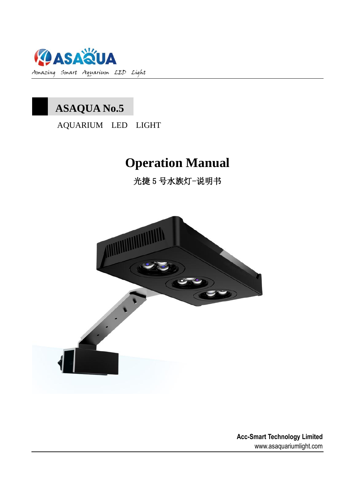

# 1 **ASAQUA No.5**

AQUARIUM LED LIGHT

# **Operation Manual**

光捷 5 号水族灯-说明书



 **Acc-Smart Technology Limited** www.asaquariumlight.com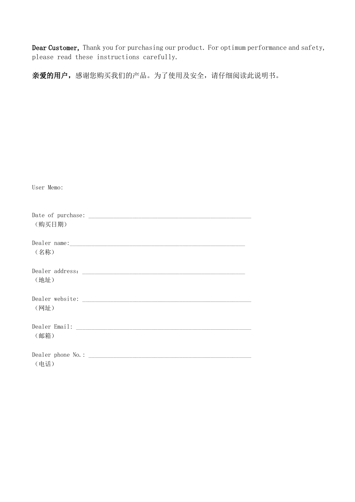Dear Customer, Thank you for purchasing our product. For optimum performance and safety, please read these instructions carefully.

亲爱的用户,感谢您购买我们的产品。为了使用及安全,请仔细阅读此说明书。

| User Memo: |
|------------|
| (购买日期)     |
| (名称)       |
| (地址)       |
| (网址)       |
| (邮箱)       |
| (电话)       |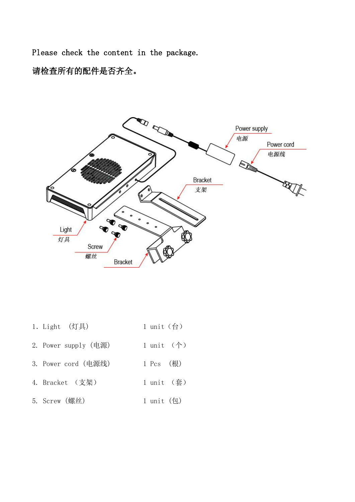Please check the content in the package.

请检查所有的配件是否齐全。



- 1. Light (灯具) 1 unit (台)
- 2. Power supply (电源) 1 unit (个)
- 3. Power cord (电源线) 1 Pcs (根)
- 4. Bracket (支架) 1 unit (套)
- 5. Screw (螺丝) 1 unit (包)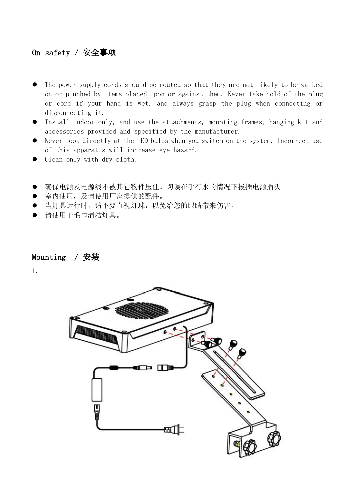### On safety / 安全事项

- The power supply cords should be routed so that they are not likely to be walked on or pinched by items placed upon or against them. Never take hold of the plug or cord if your hand is wet, and always grasp the plug when connecting or disconnecting it.
- Install indoor only, and use the attachments, mounting frames, hanging kit and accessories provided and specified by the manufacturer.
- Never look directly at the LED bulbs when you switch on the system. Incorrect use of this apparatus will increase eye hazard.
- Clean only with dry cloth.
- 确保电源及电源线不被其它物件压住。切误在手有水的情况下拔插电源插头。
- 室内使用,及请使用厂家提供的配件。
- 当灯具运行时,请不要直视灯珠,以免给您的眼睛带来伤害。
- 请使用干毛巾清洁灯具。

#### Mounting / 安装

1.

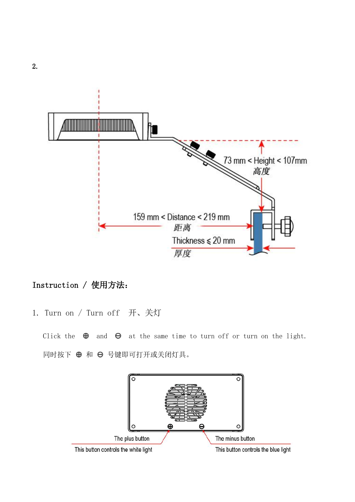

## Instruction / 使用方法:

1. Turn on / Turn off 开、关灯

Click the  $\oplus$  and  $\ominus$  at the same time to turn off or turn on the light. 同时按下 ⊕ 和 ⊖ 号键即可打开或关闭灯具。



2.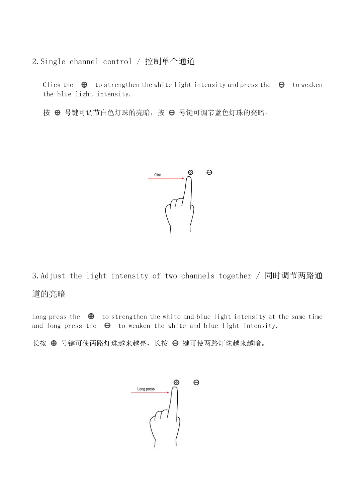2.Single channel control / 控制单个通道

Click the  $\Theta$  to strengthen the white light intensity and press the  $\Theta$  to weaken the blue light intensity.

按 ⊕ 号键可调节白色灯珠的亮暗, 按 ⊖ 号键可调节蓝色灯珠的亮暗。



3.Adjust the light intensity of two channels together / 同时调节两路通

### 道的亮暗

Long press the  $\oplus$  to strengthen the white and blue light intensity at the same time and long press the  $\Theta$  to weaken the white and blue light intensity.

长按 ⊕ 号键可使两路灯珠越来越底,长按 ⊖ 键可使两路灯珠越来越暗。

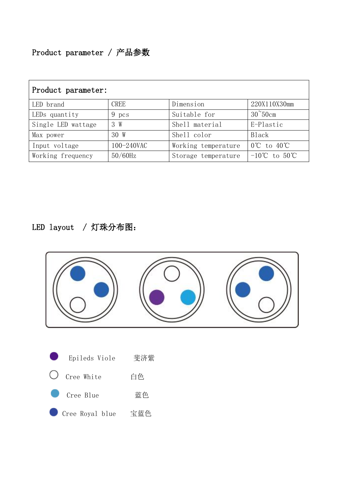| Product parameter: |             |                     |                                   |  |
|--------------------|-------------|---------------------|-----------------------------------|--|
| LED brand          | <b>CREE</b> | Dimension           | 220X110X30mm                      |  |
| LEDs quantity      | 9 pcs       | Suitable for        | $30^{\circ}50$ cm                 |  |
| Single LED wattage | 3 W         | Shell material      | E-Plastic                         |  |
| Max power          | 30 W        | Shell color         | Black                             |  |
| Input voltage      | 100-240VAC  | Working temperature | $0^{\circ}$ C to $40^{\circ}$ C   |  |
| Working frequency  | $50/60$ Hz  | Storage temperature | $-10^{\circ}$ C to $50^{\circ}$ C |  |

# LED layout / 灯珠分布图:

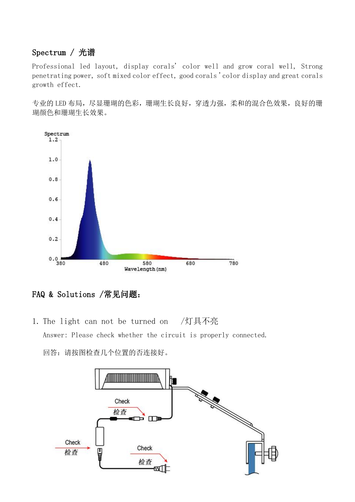#### Spectrum / 光谱

Professional led layout, display corals' color well and grow coral well, Strong penetrating power, soft mixed color effect, good corals 'color display and great corals growth effect.

专业的 LED 布局, 尽显珊瑚的色彩, 珊瑚生长良好, 穿透力强, 柔和的混合色效果, 良好的珊 瑚颜色和珊瑚生长效果。



FAQ & Solutions /常见问题:

1. The light can not be turned on /灯具不亮 Answer: Please check whether the circuit is properly connected. 回答:请按图检查几个位置的否连接好。

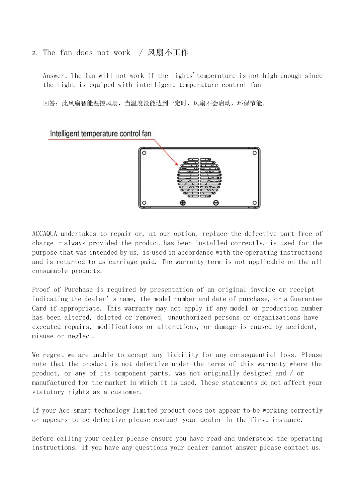2. The fan does not work / 风扇不工作

Answer: The fan will not work if the lights'temperature is not high enough since the light is equiped with intelligent temperature control fan.

回答:此风扇智能温控风扇,当温度没能达到一定时,风扇不会启动,环保节能。

Intelligent temperature control fan



ACCAQUA undertakes to repair or, at our option, replace the defective part free of charge –always provided the product has been installed correctly, is used for the purpose that was intended by us, is used in accordance with the operating instructions and is returned to us carriage paid. The warranty term is not applicable on the all consumable products.

Proof of Purchase is required by presentation of an original invoice or receipt indicating the dealer's name, the model number and date of purchase, or a Guarantee Card if appropriate. This warranty may not apply if any model or production number has been altered, deleted or removed, unauthorized persons or organizations have executed repairs, modifications or alterations, or damage is caused by accident, misuse or neglect.

We regret we are unable to accept any liability for any consequential loss. Please note that the product is not defective under the terms of this warranty where the product, or any of its component parts, was not originally designed and / or manufactured for the market in which it is used. These statements do not affect your statutory rights as a customer.

If your Acc-smart technology limited product does not appear to be working correctly or appears to be defective please contact your dealer in the first instance.

Before calling your dealer please ensure you have read and understood the operating instructions. If you have any questions your dealer cannot answer please contact us.